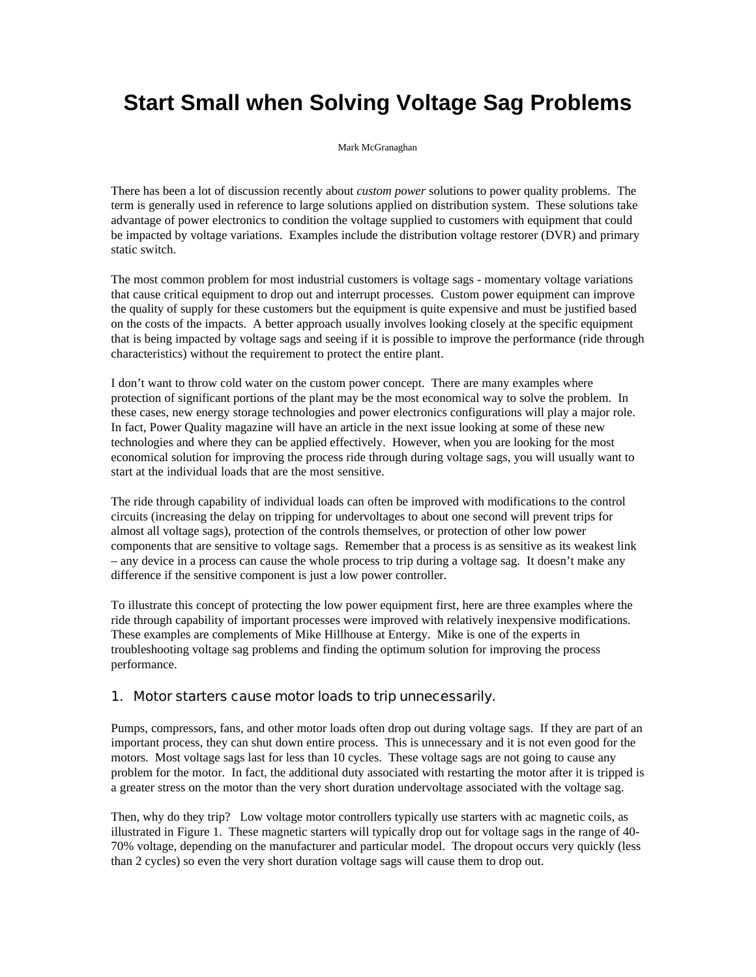## **Start Small when Solving Voltage Sag Problems**

Mark McGranaghan

There has been a lot of discussion recently about *custom power* solutions to power quality problems. The term is generally used in reference to large solutions applied on distribution system. These solutions take advantage of power electronics to condition the voltage supplied to customers with equipment that could be impacted by voltage variations. Examples include the distribution voltage restorer (DVR) and primary static switch.

The most common problem for most industrial customers is voltage sags - momentary voltage variations that cause critical equipment to drop out and interrupt processes. Custom power equipment can improve the quality of supply for these customers but the equipment is quite expensive and must be justified based on the costs of the impacts. A better approach usually involves looking closely at the specific equipment that is being impacted by voltage sags and seeing if it is possible to improve the performance (ride through characteristics) without the requirement to protect the entire plant.

I don't want to throw cold water on the custom power concept. There are many examples where protection of significant portions of the plant may be the most economical way to solve the problem. In these cases, new energy storage technologies and power electronics configurations will play a major role. In fact, Power Quality magazine will have an article in the next issue looking at some of these new technologies and where they can be applied effectively. However, when you are looking for the most economical solution for improving the process ride through during voltage sags, you will usually want to start at the individual loads that are the most sensitive.

The ride through capability of individual loads can often be improved with modifications to the control circuits (increasing the delay on tripping for undervoltages to about one second will prevent trips for almost all voltage sags), protection of the controls themselves, or protection of other low power components that are sensitive to voltage sags. Remember that a process is as sensitive as its weakest link – any device in a process can cause the whole process to trip during a voltage sag. It doesn't make any difference if the sensitive component is just a low power controller.

To illustrate this concept of protecting the low power equipment first, here are three examples where the ride through capability of important processes were improved with relatively inexpensive modifications. These examples are complements of Mike Hillhouse at Entergy. Mike is one of the experts in troubleshooting voltage sag problems and finding the optimum solution for improving the process performance.

## 1. Motor starters cause motor loads to trip unnecessarily.

Pumps, compressors, fans, and other motor loads often drop out during voltage sags. If they are part of an important process, they can shut down entire process. This is unnecessary and it is not even good for the motors. Most voltage sags last for less than 10 cycles. These voltage sags are not going to cause any problem for the motor. In fact, the additional duty associated with restarting the motor after it is tripped is a greater stress on the motor than the very short duration undervoltage associated with the voltage sag.

Then, why do they trip? Low voltage motor controllers typically use starters with ac magnetic coils, as illustrated in Figure 1. These magnetic starters will typically drop out for voltage sags in the range of 40- 70% voltage, depending on the manufacturer and particular model. The dropout occurs very quickly (less than 2 cycles) so even the very short duration voltage sags will cause them to drop out.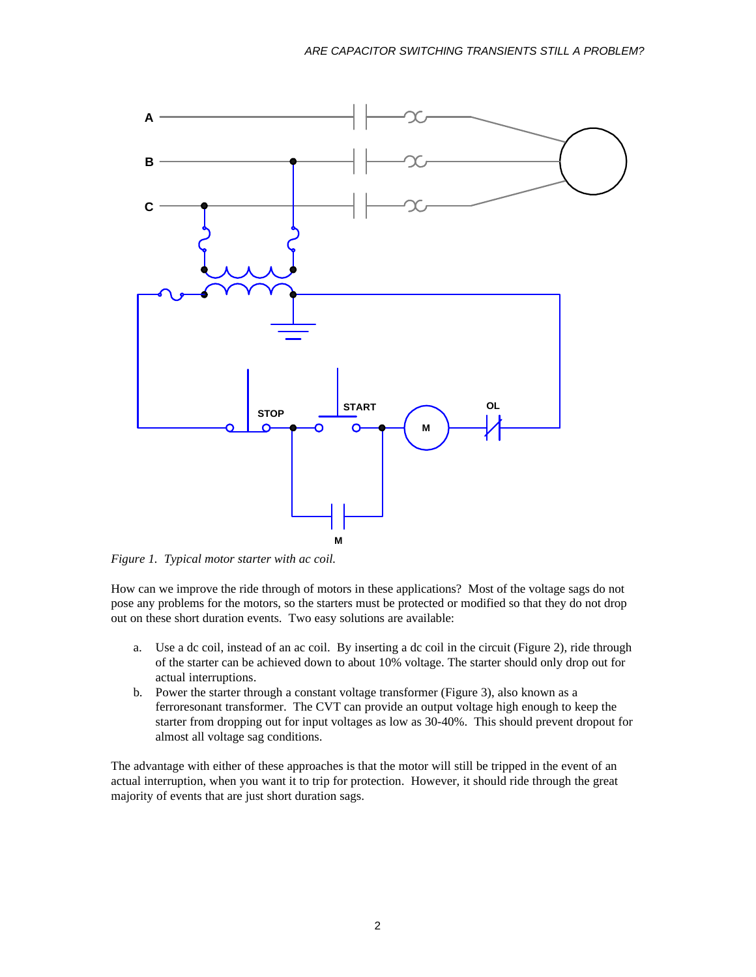

*Figure 1. Typical motor starter with ac coil.*

How can we improve the ride through of motors in these applications? Most of the voltage sags do not pose any problems for the motors, so the starters must be protected or modified so that they do not drop out on these short duration events. Two easy solutions are available:

- a. Use a dc coil, instead of an ac coil. By inserting a dc coil in the circuit (Figure 2), ride through of the starter can be achieved down to about 10% voltage. The starter should only drop out for actual interruptions.
- b. Power the starter through a constant voltage transformer (Figure 3), also known as a ferroresonant transformer. The CVT can provide an output voltage high enough to keep the starter from dropping out for input voltages as low as 30-40%. This should prevent dropout for almost all voltage sag conditions.

The advantage with either of these approaches is that the motor will still be tripped in the event of an actual interruption, when you want it to trip for protection. However, it should ride through the great majority of events that are just short duration sags.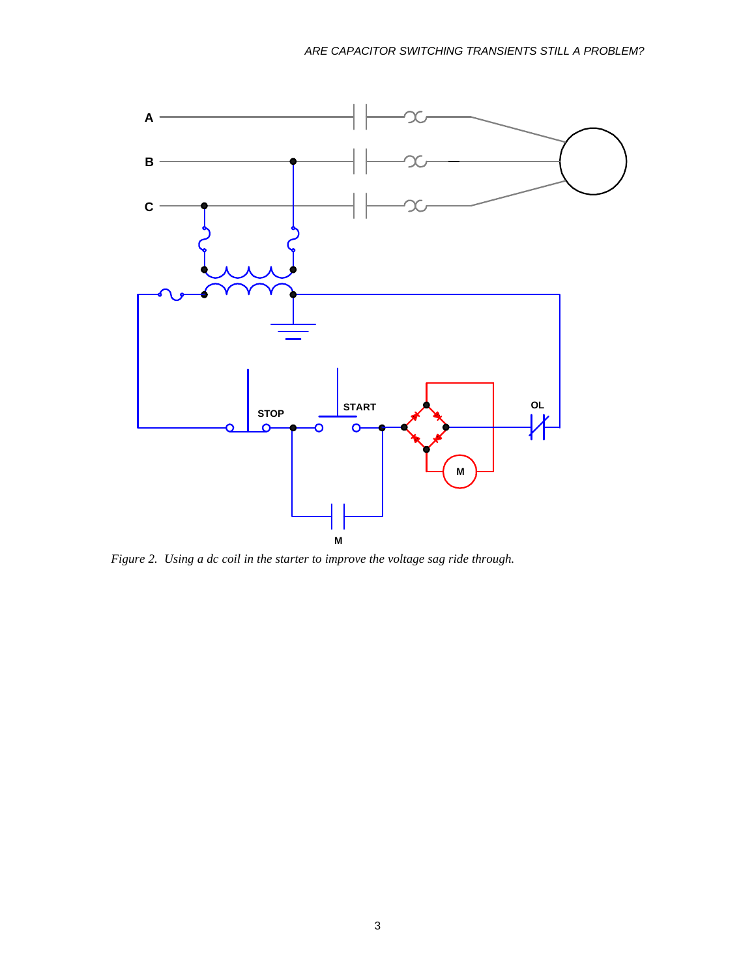

*Figure 2. Using a dc coil in the starter to improve the voltage sag ride through.*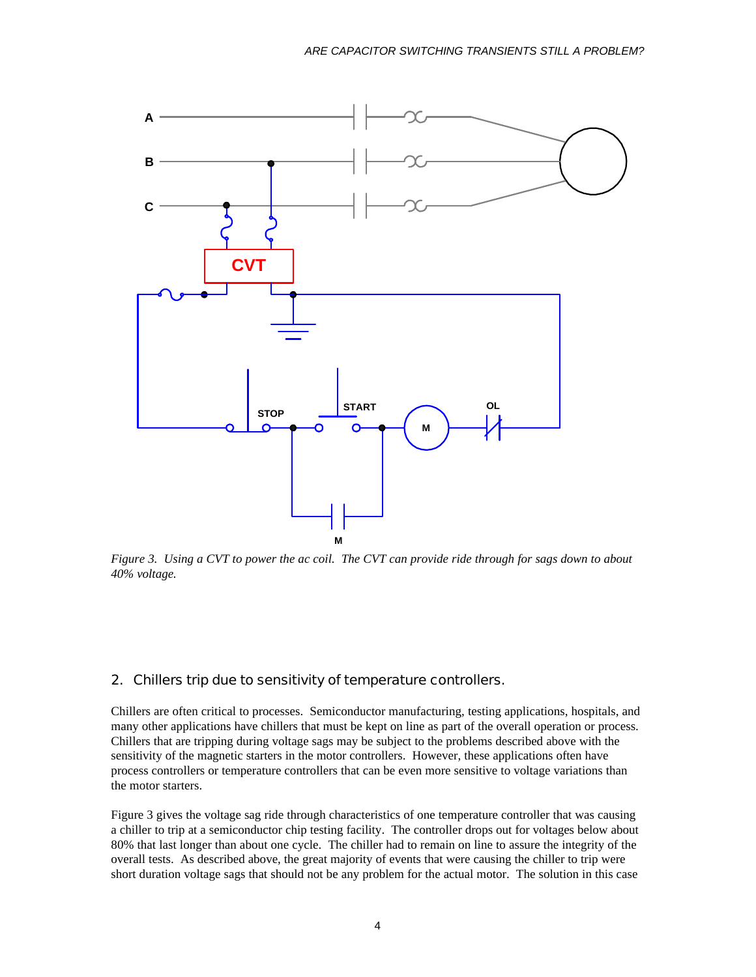

*Figure 3. Using a CVT to power the ac coil. The CVT can provide ride through for sags down to about 40% voltage.*

## 2. Chillers trip due to sensitivity of temperature controllers.

Chillers are often critical to processes. Semiconductor manufacturing, testing applications, hospitals, and many other applications have chillers that must be kept on line as part of the overall operation or process. Chillers that are tripping during voltage sags may be subject to the problems described above with the sensitivity of the magnetic starters in the motor controllers. However, these applications often have process controllers or temperature controllers that can be even more sensitive to voltage variations than the motor starters.

Figure 3 gives the voltage sag ride through characteristics of one temperature controller that was causing a chiller to trip at a semiconductor chip testing facility. The controller drops out for voltages below about 80% that last longer than about one cycle. The chiller had to remain on line to assure the integrity of the overall tests. As described above, the great majority of events that were causing the chiller to trip were short duration voltage sags that should not be any problem for the actual motor. The solution in this case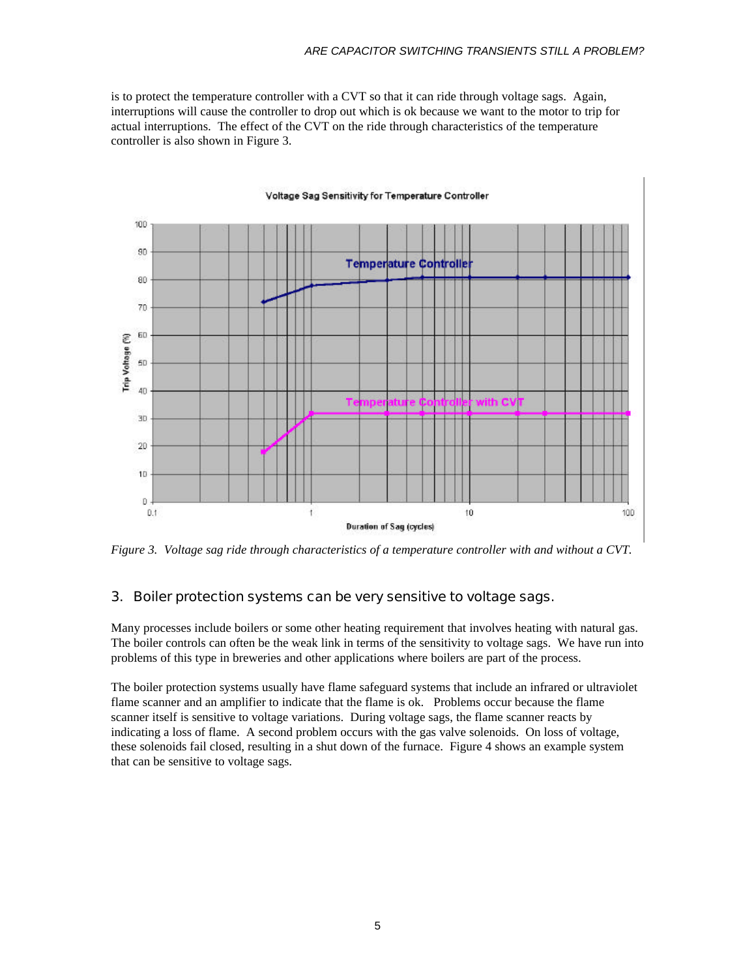is to protect the temperature controller with a CVT so that it can ride through voltage sags. Again, interruptions will cause the controller to drop out which is ok because we want to the motor to trip for actual interruptions. The effect of the CVT on the ride through characteristics of the temperature controller is also shown in Figure 3.



*Figure 3. Voltage sag ride through characteristics of a temperature controller with and without a CVT.*

## 3. Boiler protection systems can be very sensitive to voltage sags.

Many processes include boilers or some other heating requirement that involves heating with natural gas. The boiler controls can often be the weak link in terms of the sensitivity to voltage sags. We have run into problems of this type in breweries and other applications where boilers are part of the process.

The boiler protection systems usually have flame safeguard systems that include an infrared or ultraviolet flame scanner and an amplifier to indicate that the flame is ok. Problems occur because the flame scanner itself is sensitive to voltage variations. During voltage sags, the flame scanner reacts by indicating a loss of flame. A second problem occurs with the gas valve solenoids. On loss of voltage, these solenoids fail closed, resulting in a shut down of the furnace. Figure 4 shows an example system that can be sensitive to voltage sags.